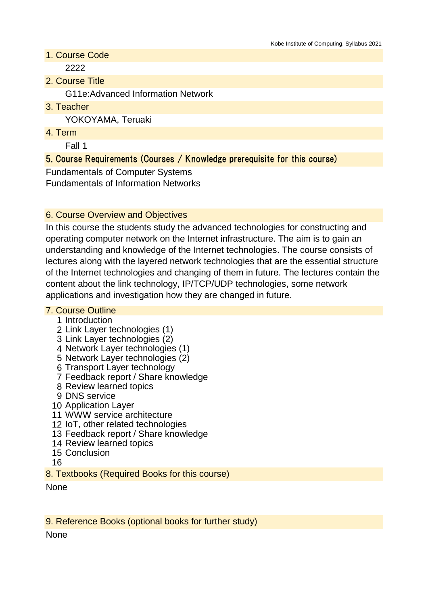1. Course Code

2222

2. Course Title

G11e:Advanced Information Network

3. Teacher

YOKOYAMA, Teruaki

4. Term

Fall 1

# 5. Course Requirements (Courses / Knowledge prerequisite for this course)

Fundamentals of Computer Systems Fundamentals of Information Networks

### 6. Course Overview and Objectives

In this course the students study the advanced technologies for constructing and operating computer network on the Internet infrastructure. The aim is to gain an understanding and knowledge of the Internet technologies. The course consists of lectures along with the layered network technologies that are the essential structure of the Internet technologies and changing of them in future. The lectures contain the content about the link technology, IP/TCP/UDP technologies, some network applications and investigation how they are changed in future.

#### 7. Course Outline

- 1 Introduction
- 2 Link Layer technologies (1)
- 3 Link Layer technologies (2)
- 4 Network Layer technologies (1)
- 5 Network Layer technologies (2)
- 6 Transport Layer technology
- 7 Feedback report / Share knowledge
- 8 Review learned topics
- 9 DNS service
- 10 Application Layer
- 11 WWW service architecture
- 12 IoT, other related technologies
- 13 Feedback report / Share knowledge
- 14 Review learned topics
- 15 Conclusion
- 16

8. Textbooks (Required Books for this course)

None

9. Reference Books (optional books for further study)

None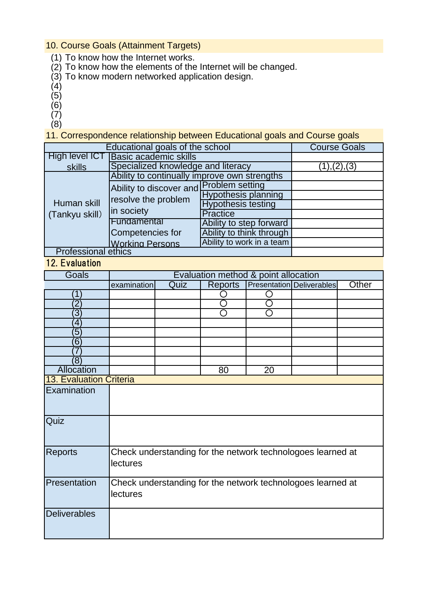### 10. Course Goals (Attainment Targets)

- (1) To know how the Internet works.
- (2) To know how the elements of the Internet will be changed.
- (3) To know modern networked application design.
- (4)
- (5)
- (6)
- (7)
- (8)

11. Correspondence relationship between Educational goals and Course goals

| Educational goals of the school |                                                                              |                            | <b>Course Goals</b> |
|---------------------------------|------------------------------------------------------------------------------|----------------------------|---------------------|
| <b>High level ICT</b>           | <b>Basic academic skills</b>                                                 |                            |                     |
| skills                          | Specialized knowledge and literacy                                           | (1), (2), (3)              |                     |
|                                 | Ability to continually improve own strengths                                 |                            |                     |
| Human skill<br>(Tankyu skill)   | Ability to discover and Problem setting<br>resolve the problem<br>in society |                            |                     |
|                                 |                                                                              | <b>Hypothesis planning</b> |                     |
|                                 |                                                                              | <b>Hypothesis testing</b>  |                     |
|                                 |                                                                              | <b>Practice</b>            |                     |
|                                 | Fundamental                                                                  | Ability to step forward    |                     |
|                                 | Competencies for                                                             | Ability to think through   |                     |
|                                 | <b>Working Persons</b>                                                       | Ability to work in a team  |                     |
| <b>Professional ethics</b>      |                                                                              |                            |                     |

# 12. Evaluation

| Goals                   | Evaluation method & point allocation                        |      |                |    |                                  |       |
|-------------------------|-------------------------------------------------------------|------|----------------|----|----------------------------------|-------|
|                         | examination                                                 | Quiz | <b>Reports</b> |    | <b>Presentation Deliverables</b> | Other |
| 1                       |                                                             |      |                |    |                                  |       |
| $\mathbf 2$             |                                                             |      |                |    |                                  |       |
| $\overline{3}$          |                                                             |      | ∩              |    |                                  |       |
| $\overline{4}$          |                                                             |      |                |    |                                  |       |
| $\overline{5}$          |                                                             |      |                |    |                                  |       |
| $6^{\circ}$             |                                                             |      |                |    |                                  |       |
|                         |                                                             |      |                |    |                                  |       |
| (8)                     |                                                             |      |                |    |                                  |       |
| <b>Allocation</b>       |                                                             |      | 80             | 20 |                                  |       |
| 13. Evaluation Criteria |                                                             |      |                |    |                                  |       |
| Examination             |                                                             |      |                |    |                                  |       |
|                         |                                                             |      |                |    |                                  |       |
|                         |                                                             |      |                |    |                                  |       |
| Quiz                    |                                                             |      |                |    |                                  |       |
|                         |                                                             |      |                |    |                                  |       |
|                         |                                                             |      |                |    |                                  |       |
| <b>Reports</b>          | Check understanding for the network technologoes learned at |      |                |    |                                  |       |
|                         | lectures                                                    |      |                |    |                                  |       |
|                         |                                                             |      |                |    |                                  |       |
| Presentation            | Check understanding for the network technologoes learned at |      |                |    |                                  |       |
|                         | <b>lectures</b>                                             |      |                |    |                                  |       |
|                         |                                                             |      |                |    |                                  |       |
| <b>Deliverables</b>     |                                                             |      |                |    |                                  |       |
|                         |                                                             |      |                |    |                                  |       |
|                         |                                                             |      |                |    |                                  |       |
|                         |                                                             |      |                |    |                                  |       |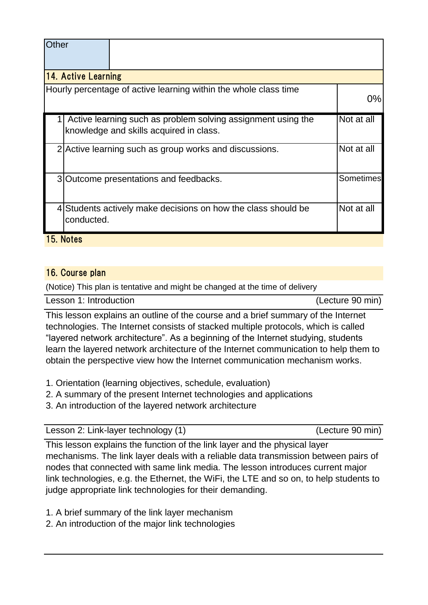| Other |                            |                                                                                                         |                  |  |  |
|-------|----------------------------|---------------------------------------------------------------------------------------------------------|------------------|--|--|
|       | <b>14. Active Learning</b> |                                                                                                         |                  |  |  |
|       |                            | Hourly percentage of active learning within the whole class time                                        | $0\%$            |  |  |
|       |                            | Active learning such as problem solving assignment using the<br>knowledge and skills acquired in class. | Not at all       |  |  |
|       |                            | 2 Active learning such as group works and discussions.                                                  | Not at all       |  |  |
|       |                            | 3 Outcome presentations and feedbacks.                                                                  | <b>Sometimes</b> |  |  |
|       | conducted.                 | 4 Students actively make decisions on how the class should be                                           | Not at all       |  |  |
|       | 15. Notes                  |                                                                                                         |                  |  |  |

## 16. Course plan

(Notice) This plan is tentative and might be changed at the time of delivery

| Lesson 1: Introduction | (Lecture 90 min) |
|------------------------|------------------|
|                        |                  |

This lesson explains an outline of the course and a brief summary of the Internet technologies. The Internet consists of stacked multiple protocols, which is called "layered network architecture". As a beginning of the Internet studying, students learn the layered network architecture of the Internet communication to help them to obtain the perspective view how the Internet communication mechanism works.

- 1. Orientation (learning objectives, schedule, evaluation)
- 2. A summary of the present Internet technologies and applications
- 3. An introduction of the layered network architecture

| Lesson 2: Link-layer technology (1) | (Lecture 90 min) |
|-------------------------------------|------------------|
|-------------------------------------|------------------|

This lesson explains the function of the link layer and the physical layer mechanisms. The link layer deals with a reliable data transmission between pairs of nodes that connected with same link media. The lesson introduces current major link technologies, e.g. the Ethernet, the WiFi, the LTE and so on, to help students to judge appropriate link technologies for their demanding.

- 1. A brief summary of the link layer mechanism
- 2. An introduction of the major link technologies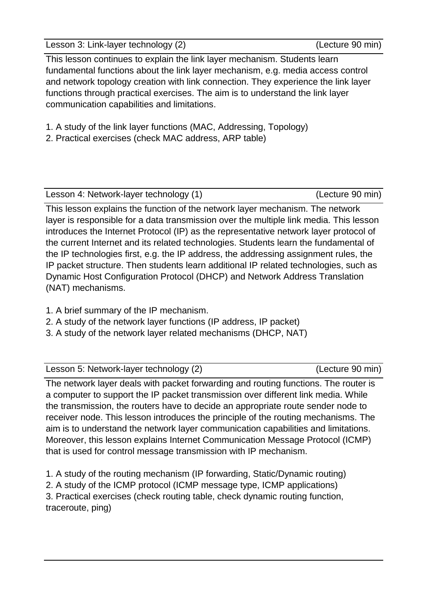Lesson 3: Link-layer technology (2) (Lecture 90 min)

This lesson continues to explain the link layer mechanism. Students learn fundamental functions about the link layer mechanism, e.g. media access control and network topology creation with link connection. They experience the link layer functions through practical exercises. The aim is to understand the link layer communication capabilities and limitations.

- 1. A study of the link layer functions (MAC, Addressing, Topology)
- 2. Practical exercises (check MAC address, ARP table)

Lesson 4: Network-layer technology (1) (Lecture 90 min)

This lesson explains the function of the network layer mechanism. The network layer is responsible for a data transmission over the multiple link media. This lesson introduces the Internet Protocol (IP) as the representative network layer protocol of the current Internet and its related technologies. Students learn the fundamental of the IP technologies first, e.g. the IP address, the addressing assignment rules, the IP packet structure. Then students learn additional IP related technologies, such as Dynamic Host Configuration Protocol (DHCP) and Network Address Translation (NAT) mechanisms.

- 1. A brief summary of the IP mechanism.
- 2. A study of the network layer functions (IP address, IP packet)
- 3. A study of the network layer related mechanisms (DHCP, NAT)

Lesson 5: Network-layer technology (2) [19] [19] (Lecture 90 min)

The network layer deals with packet forwarding and routing functions. The router is a computer to support the IP packet transmission over different link media. While the transmission, the routers have to decide an appropriate route sender node to receiver node. This lesson introduces the principle of the routing mechanisms. The aim is to understand the network layer communication capabilities and limitations. Moreover, this lesson explains Internet Communication Message Protocol (ICMP) that is used for control message transmission with IP mechanism.

1. A study of the routing mechanism (IP forwarding, Static/Dynamic routing)

2. A study of the ICMP protocol (ICMP message type, ICMP applications)

3. Practical exercises (check routing table, check dynamic routing function, traceroute, ping)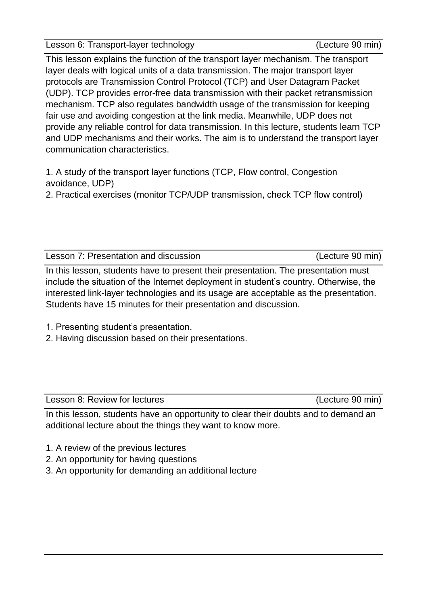Lesson 6: Transport-layer technology (Lecture 90 min)

This lesson explains the function of the transport layer mechanism. The transport layer deals with logical units of a data transmission. The major transport layer protocols are Transmission Control Protocol (TCP) and User Datagram Packet (UDP). TCP provides error-free data transmission with their packet retransmission mechanism. TCP also regulates bandwidth usage of the transmission for keeping fair use and avoiding congestion at the link media. Meanwhile, UDP does not provide any reliable control for data transmission. In this lecture, students learn TCP and UDP mechanisms and their works. The aim is to understand the transport layer communication characteristics.

1. A study of the transport layer functions (TCP, Flow control, Congestion avoidance, UDP)

2. Practical exercises (monitor TCP/UDP transmission, check TCP flow control)

Lesson 7: Presentation and discussion (Lecture 90 min)

In this lesson, students have to present their presentation. The presentation must include the situation of the Internet deployment in student's country. Otherwise, the interested link-layer technologies and its usage are acceptable as the presentation. Students have 15 minutes for their presentation and discussion.

- 1. Presenting student's presentation.
- 2. Having discussion based on their presentations.

Lesson 8: Review for lectures (Lecture 90 min)

In this lesson, students have an opportunity to clear their doubts and to demand an additional lecture about the things they want to know more.

- 1. A review of the previous lectures
- 2. An opportunity for having questions
- 3. An opportunity for demanding an additional lecture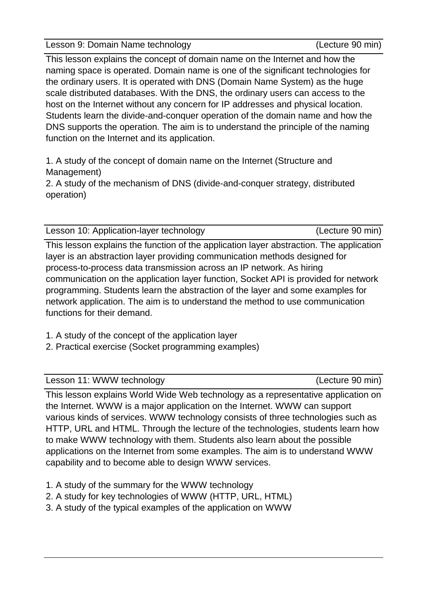Lesson 9: Domain Name technology (Lecture 90 min)

This lesson explains the concept of domain name on the Internet and how the naming space is operated. Domain name is one of the significant technologies for the ordinary users. It is operated with DNS (Domain Name System) as the huge scale distributed databases. With the DNS, the ordinary users can access to the host on the Internet without any concern for IP addresses and physical location. Students learn the divide-and-conquer operation of the domain name and how the DNS supports the operation. The aim is to understand the principle of the naming function on the Internet and its application.

1. A study of the concept of domain name on the Internet (Structure and Management)

2. A study of the mechanism of DNS (divide-and-conquer strategy, distributed operation)

Lesson 10: Application-layer technology (Lecture 90 min)

This lesson explains the function of the application layer abstraction. The application layer is an abstraction layer providing communication methods designed for process-to-process data transmission across an IP network. As hiring communication on the application layer function, Socket API is provided for network programming. Students learn the abstraction of the layer and some examples for network application. The aim is to understand the method to use communication functions for their demand.

1. A study of the concept of the application layer

2. Practical exercise (Socket programming examples)

Lesson 11: WWW technology (Lecture 90 min)

This lesson explains World Wide Web technology as a representative application on the Internet. WWW is a major application on the Internet. WWW can support various kinds of services. WWW technology consists of three technologies such as HTTP, URL and HTML. Through the lecture of the technologies, students learn how to make WWW technology with them. Students also learn about the possible applications on the Internet from some examples. The aim is to understand WWW capability and to become able to design WWW services.

- 1. A study of the summary for the WWW technology
- 2. A study for key technologies of WWW (HTTP, URL, HTML)
- 3. A study of the typical examples of the application on WWW